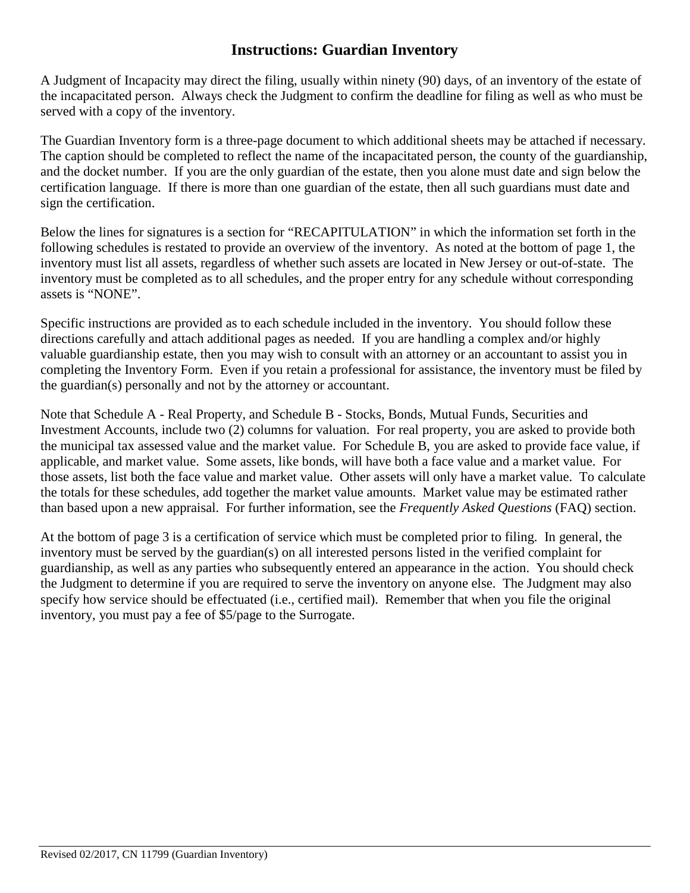## **Instructions: Guardian Inventory**

A Judgment of Incapacity may direct the filing, usually within ninety (90) days, of an inventory of the estate of the incapacitated person. Always check the Judgment to confirm the deadline for filing as well as who must be served with a copy of the inventory.

The Guardian Inventory form is a three-page document to which additional sheets may be attached if necessary. The caption should be completed to reflect the name of the incapacitated person, the county of the guardianship, and the docket number. If you are the only guardian of the estate, then you alone must date and sign below the certification language. If there is more than one guardian of the estate, then all such guardians must date and sign the certification.

Below the lines for signatures is a section for "RECAPITULATION" in which the information set forth in the following schedules is restated to provide an overview of the inventory. As noted at the bottom of page 1, the inventory must list all assets, regardless of whether such assets are located in New Jersey or out-of-state. The inventory must be completed as to all schedules, and the proper entry for any schedule without corresponding assets is "NONE".

Specific instructions are provided as to each schedule included in the inventory. You should follow these directions carefully and attach additional pages as needed. If you are handling a complex and/or highly valuable guardianship estate, then you may wish to consult with an attorney or an accountant to assist you in completing the Inventory Form. Even if you retain a professional for assistance, the inventory must be filed by the guardian(s) personally and not by the attorney or accountant.

Note that Schedule A - Real Property, and Schedule B - Stocks, Bonds, Mutual Funds, Securities and Investment Accounts, include two (2) columns for valuation. For real property, you are asked to provide both the municipal tax assessed value and the market value. For Schedule B, you are asked to provide face value, if applicable, and market value. Some assets, like bonds, will have both a face value and a market value. For those assets, list both the face value and market value. Other assets will only have a market value. To calculate the totals for these schedules, add together the market value amounts. Market value may be estimated rather than based upon a new appraisal. For further information, see the *Frequently Asked Questions* (FAQ) section.

At the bottom of page 3 is a certification of service which must be completed prior to filing. In general, the inventory must be served by the guardian(s) on all interested persons listed in the verified complaint for guardianship, as well as any parties who subsequently entered an appearance in the action. You should check the Judgment to determine if you are required to serve the inventory on anyone else. The Judgment may also specify how service should be effectuated (i.e., certified mail). Remember that when you file the original inventory, you must pay a fee of \$5/page to the Surrogate.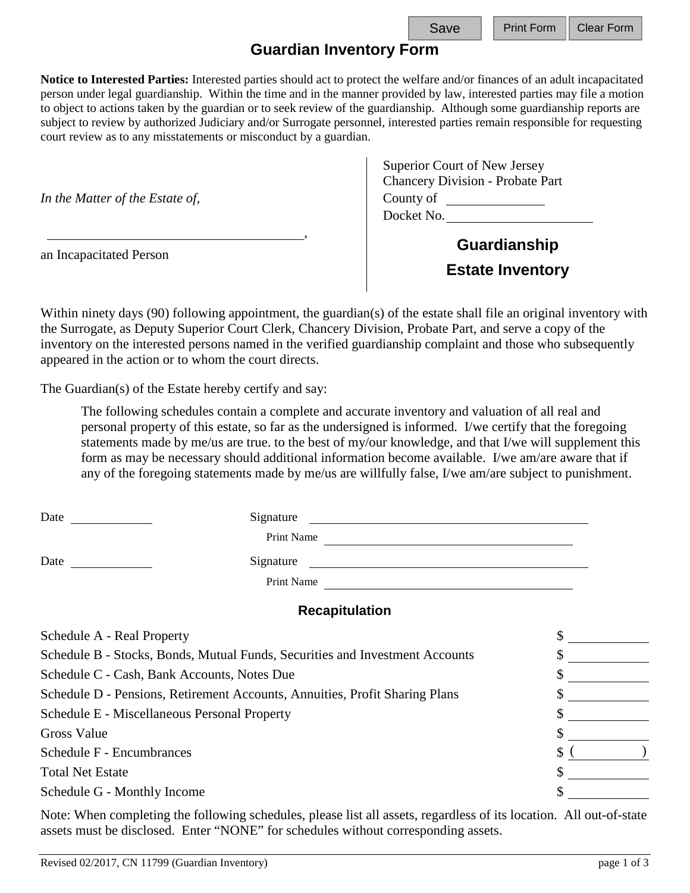## **Guardian Inventory Form**

**Notice to Interested Parties:** Interested parties should act to protect the welfare and/or finances of an adult incapacitated person under legal guardianship. Within the time and in the manner provided by law, interested parties may file a motion to object to actions taken by the guardian or to seek review of the guardianship. Although some guardianship reports are subject to review by authorized Judiciary and/or Surrogate personnel, interested parties remain responsible for requesting court review as to any misstatements or misconduct by a guardian.

an Incapacitated Person

Superior Court of New Jersey Chancery Division - Probate Part *In the Matter of the Estate of,* County of County of County of County of County of County of County of County of County of County of County of County of County of County of County of County of County of County of County o Docket No.

> **Guardianship Estate Inventory**

Within ninety days (90) following appointment, the guardian(s) of the estate shall file an original inventory with the Surrogate, as Deputy Superior Court Clerk, Chancery Division, Probate Part, and serve a copy of the inventory on the interested persons named in the verified guardianship complaint and those who subsequently appeared in the action or to whom the court directs.

,

The Guardian(s) of the Estate hereby certify and say:

The following schedules contain a complete and accurate inventory and valuation of all real and personal property of this estate, so far as the undersigned is informed. I/we certify that the foregoing statements made by me/us are true. to the best of my/our knowledge, and that I/we will supplement this form as may be necessary should additional information become available. I/we am/are aware that if any of the foregoing statements made by me/us are willfully false, I/we am/are subject to punishment.

| Date                                                                         | Signature             |    |
|------------------------------------------------------------------------------|-----------------------|----|
|                                                                              | Print Name            |    |
| Date                                                                         | Signature             |    |
|                                                                              | Print Name            |    |
|                                                                              | <b>Recapitulation</b> |    |
| Schedule A - Real Property                                                   |                       |    |
| Schedule B - Stocks, Bonds, Mutual Funds, Securities and Investment Accounts |                       |    |
| Schedule C - Cash, Bank Accounts, Notes Due                                  |                       |    |
| Schedule D - Pensions, Retirement Accounts, Annuities, Profit Sharing Plans  |                       |    |
| Schedule E - Miscellaneous Personal Property                                 |                       |    |
| Gross Value                                                                  |                       |    |
| Schedule F - Encumbrances                                                    |                       | \$ |
| <b>Total Net Estate</b>                                                      |                       |    |
| Schedule G - Monthly Income                                                  |                       |    |
|                                                                              |                       |    |

Note: When completing the following schedules, please list all assets, regardless of its location. All out-of-state assets must be disclosed. Enter "NONE" for schedules without corresponding assets.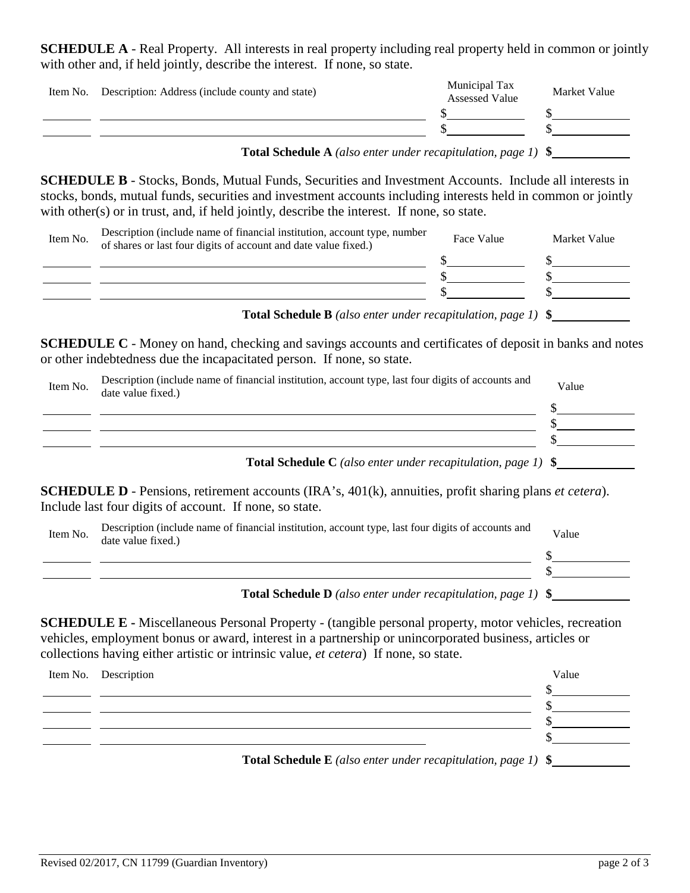**SCHEDULE A** - Real Property. All interests in real property including real property held in common or jointly with other and, if held jointly, describe the interest. If none, so state.

| Item No. Description: Address (include county and state) | Municipal Tax<br><b>Assessed Value</b> | Market Value |
|----------------------------------------------------------|----------------------------------------|--------------|
|                                                          |                                        |              |
|                                                          |                                        |              |
|                                                          |                                        |              |

**Total Schedule A** *(also enter under recapitulation, page 1)* **\$** .

**SCHEDULE B** - Stocks, Bonds, Mutual Funds, Securities and Investment Accounts. Include all interests in stocks, bonds, mutual funds, securities and investment accounts including interests held in common or jointly with other(s) or in trust, and, if held jointly, describe the interest. If none, so state.

| Item No. | Description (include name of financial institution, account type, number<br>of shares or last four digits of account and date value fixed.) | Face Value | Market Value |
|----------|---------------------------------------------------------------------------------------------------------------------------------------------|------------|--------------|
|          |                                                                                                                                             |            |              |
|          |                                                                                                                                             |            |              |
|          |                                                                                                                                             |            |              |
|          |                                                                                                                                             |            |              |

**Total Schedule B** *(also enter under recapitulation, page 1)* **\$** .

**SCHEDULE C** - Money on hand, checking and savings accounts and certificates of deposit in banks and notes or other indebtedness due the incapacitated person. If none, so state.

| Item No. | Description (include name of financial institution, account type, last four digits of accounts and<br>date value fixed.) | Value |
|----------|--------------------------------------------------------------------------------------------------------------------------|-------|
|          |                                                                                                                          |       |
|          |                                                                                                                          |       |
|          |                                                                                                                          |       |
|          | <b>Total Schedule C</b> (also enter under recapitulation, page 1) $\$                                                    |       |

**SCHEDULE D** - Pensions, retirement accounts (IRA's, 401(k), annuities, profit sharing plans *et cetera*). Include last four digits of account. If none, so state.

| Item No. | Description (include name of financial institution, account type, last four digits of accounts and<br>date value fixed.) | Value |
|----------|--------------------------------------------------------------------------------------------------------------------------|-------|
|          |                                                                                                                          |       |
|          |                                                                                                                          |       |
|          | <b>Total Schedule D</b> (also enter under recapitulation, page 1) $\$                                                    |       |

**SCHEDULE E -** Miscellaneous Personal Property - (tangible personal property, motor vehicles, recreation vehicles, employment bonus or award, interest in a partnership or unincorporated business, articles or collections having either artistic or intrinsic value, *et cetera*) If none, so state.

| Item No. Description                                                            | Value |
|---------------------------------------------------------------------------------|-------|
|                                                                                 |       |
|                                                                                 |       |
|                                                                                 |       |
|                                                                                 |       |
| <b>Total Schedule E</b> (also enter under recapitulation, page 1) $\frac{1}{2}$ |       |